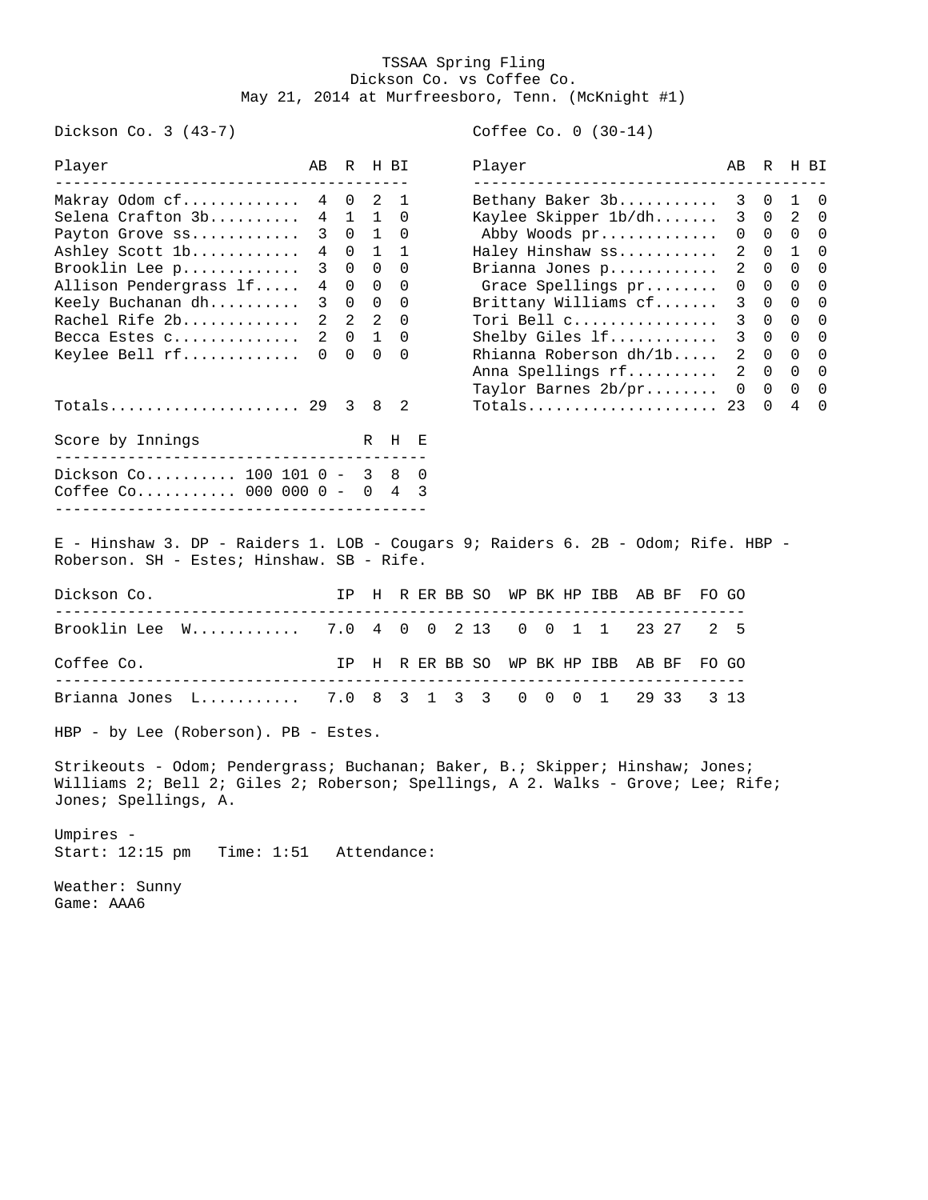## TSSAA Spring Fling Dickson Co. vs Coffee Co. May 21, 2014 at Murfreesboro, Tenn. (McKnight #1)

Dickson Co. 3 (43-7) Coffee Co. 0 (30-14)

| Player                                                                                                                         | AB             | R              |                | H BI           |     |  |                        | Player               |            |                | ---------------------------        |  |       |   | AB             | R           | H BI           |             |
|--------------------------------------------------------------------------------------------------------------------------------|----------------|----------------|----------------|----------------|-----|--|------------------------|----------------------|------------|----------------|------------------------------------|--|-------|---|----------------|-------------|----------------|-------------|
| Makray Odom cf                                                                                                                 | 4              | $\mathbf 0$    | 2              | 1              |     |  |                        |                      |            |                | Bethany Baker 3b                   |  |       |   | 3              | $\mathbf 0$ | 1              | 0           |
| Selena Crafton 3b                                                                                                              | 4              | $\mathbf{1}$   | $\mathbf{1}$   | $\Omega$       |     |  |                        |                      |            |                | Kaylee Skipper 1b/dh               |  |       |   | 3              | $\mathbf 0$ | 2              | 0           |
| Payton Grove ss                                                                                                                | 3              | $\Omega$       | $\mathbf{1}$   | $\Omega$       |     |  |                        |                      |            |                | Abby Woods pr                      |  |       |   | 0              | $\Omega$    | $\Omega$       | $\Omega$    |
| Ashley Scott 1b                                                                                                                | 4              | 0              | 1              | $\mathbf{1}$   |     |  |                        |                      |            |                | Haley Hinshaw ss                   |  |       |   | 2              | 0           | 1              | 0           |
| Brooklin Lee p                                                                                                                 | 3              | $\Omega$       | $\overline{0}$ | $\Omega$       |     |  |                        |                      |            |                | Brianna Jones p                    |  |       |   | 2              | $\Omega$    | $\Omega$       | $\mathbf 0$ |
| Allison Pendergrass lf                                                                                                         | 4              | $\Omega$       | $\overline{0}$ | $\Omega$       |     |  |                        |                      |            |                | Grace Spellings pr                 |  |       |   | 0              | $\Omega$    | $\Omega$       | $\mathbf 0$ |
| Keely Buchanan dh                                                                                                              | $\mathbf{3}$   | $\mathbf 0$    | $\overline{0}$ | $\Omega$       |     |  |                        | Brittany Williams cf |            |                |                                    |  |       |   |                | $\Omega$    | $\Omega$       | 0           |
| Rachel Rife 2b                                                                                                                 | $\overline{2}$ | $\overline{2}$ | $\overline{2}$ | $\Omega$       |     |  |                        |                      |            |                | Tori Bell c                        |  |       |   | 3              | $\Omega$    | $\mathbf{0}$   | 0           |
| Becca Estes c                                                                                                                  | 2              | $\Omega$       | $\mathbf{1}$   | $\Omega$       |     |  | Shelby Giles 1f        |                      |            |                |                                    |  |       |   | 3              | $\Omega$    | $\mathbf 0$    | 0           |
| Keylee Bell rf                                                                                                                 | 0              | $\Omega$       | $\Omega$       | $\Omega$       |     |  | Rhianna Roberson dh/1b |                      |            |                |                                    |  |       |   | $\overline{2}$ | $\Omega$    | $\overline{0}$ | 0           |
|                                                                                                                                |                |                |                |                |     |  |                        |                      |            |                | Anna Spellings rf                  |  |       |   | $\overline{2}$ | $0\quad 0$  |                | $\mathbf 0$ |
|                                                                                                                                |                |                |                |                |     |  |                        |                      |            |                | Taylor Barnes 2b/pr                |  |       |   | $\mathbf{0}$   | $\mathbf 0$ | $\mathbf{0}$   | 0           |
| Totals 29                                                                                                                      |                | $\mathbf{3}$   | 8              | $\overline{2}$ |     |  |                        |                      |            |                | Totals                             |  |       |   | 23             | 0           | 4              | $\Omega$    |
| Score by Innings                                                                                                               |                |                | R H            |                | - E |  |                        |                      |            |                |                                    |  |       |   |                |             |                |             |
| __________________________________<br>Dickson Co 100 101 0 - 3 8<br>Coffee Co 000 000 0 - 0 4 3                                |                |                |                |                | 0   |  |                        |                      |            |                |                                    |  |       |   |                |             |                |             |
| E - Hinshaw 3. DP - Raiders 1. LOB - Cougars 9; Raiders 6. 2B - Odom; Rife. HBP -<br>Roberson. SH - Estes; Hinshaw. SB - Rife. |                |                |                |                |     |  |                        |                      |            |                |                                    |  |       |   |                |             |                |             |
| Dickson Co.                                                                                                                    |                |                |                |                |     |  |                        |                      |            |                | IP H R ER BB SO WP BK HP IBB AB BF |  |       |   | FO GO          |             |                |             |
| Brooklin Lee W 7.0 4 0 0 2 13                                                                                                  |                |                |                |                |     |  |                        |                      |            |                | 0 0 1 1                            |  | 23 27 | 2 | -5             |             |                |             |
| Coffee Co.<br>.                                                                                                                |                | IP             |                |                |     |  |                        |                      |            |                | H R ER BB SO WP BK HP IBB AB BF    |  |       |   | FO GO          |             |                |             |
| Brianna Jones L 7.0 8 3 1 3 3                                                                                                  |                |                |                |                |     |  |                        |                      | $0\quad 0$ | $\overline{0}$ | $\mathbf{1}$                       |  | 29 33 |   | 3 1 3          |             |                |             |
| HBP - by Lee (Roberson). PB - Estes.                                                                                           |                |                |                |                |     |  |                        |                      |            |                |                                    |  |       |   |                |             |                |             |

Strikeouts - Odom; Pendergrass; Buchanan; Baker, B.; Skipper; Hinshaw; Jones; Williams 2; Bell 2; Giles 2; Roberson; Spellings, A 2. Walks - Grove; Lee; Rife; Jones; Spellings, A.

Umpires - Start: 12:15 pm Time: 1:51 Attendance:

Weather: Sunny Game: AAA6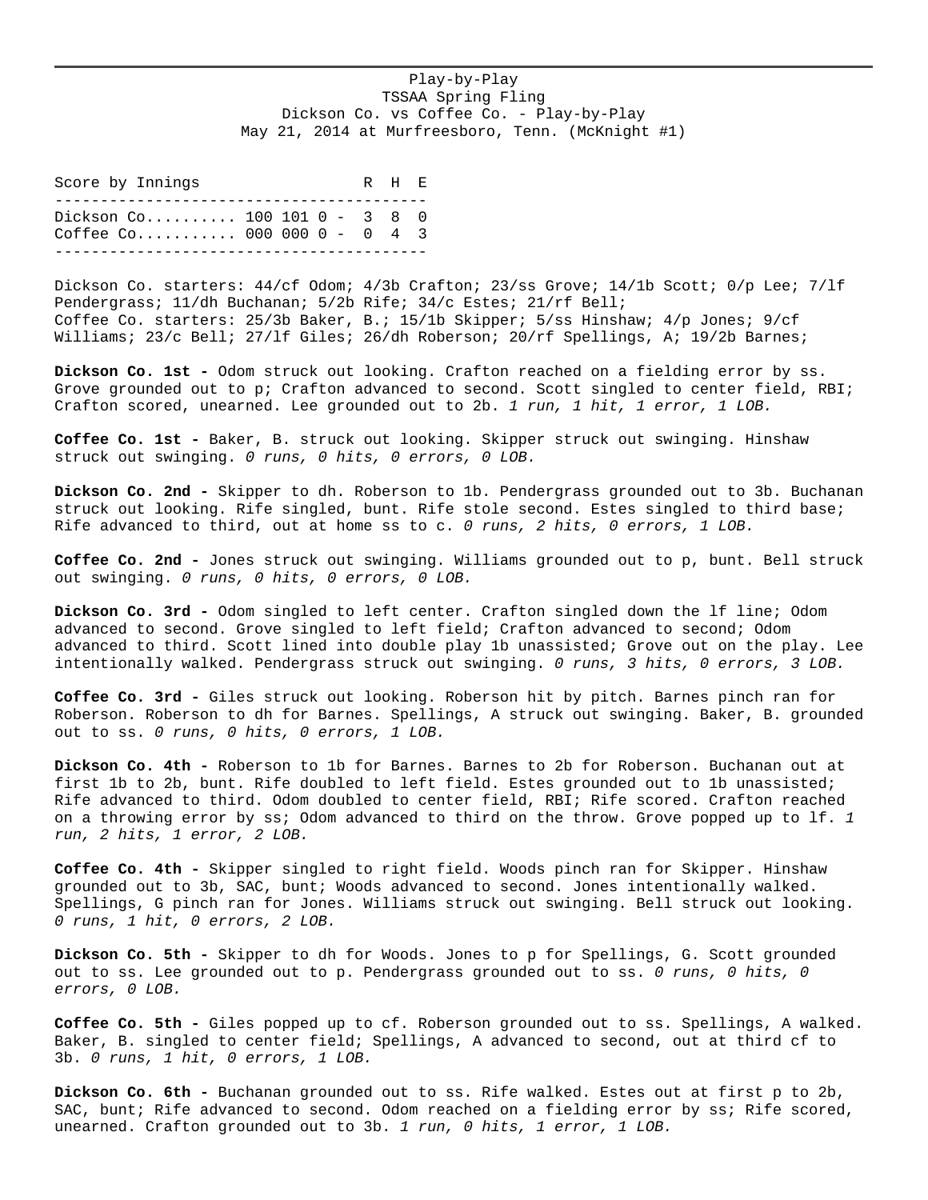## Play-by-Play TSSAA Spring Fling Dickson Co. vs Coffee Co. - Play-by-Play May 21, 2014 at Murfreesboro, Tenn. (McKnight #1)

Score by Innings R H E ----------------------------------------- Dickson Co.......... 100 101 0 - 3 8 0 Coffee Co........... 000 000 0 - 0 4 3 -----------------------------------------

Dickson Co. starters:  $44/cf$  Odom;  $4/3b$  Crafton;  $23/ss$  Grove;  $14/1b$  Scott;  $0/p$  Lee;  $7/1f$ Pendergrass; 11/dh Buchanan; 5/2b Rife; 34/c Estes; 21/rf Bell; Coffee Co. starters: 25/3b Baker, B.; 15/1b Skipper; 5/ss Hinshaw; 4/p Jones; 9/cf Williams; 23/c Bell; 27/lf Giles; 26/dh Roberson; 20/rf Spellings, A; 19/2b Barnes;

**Dickson Co. 1st -** Odom struck out looking. Crafton reached on a fielding error by ss. Grove grounded out to p; Crafton advanced to second. Scott singled to center field, RBI; Crafton scored, unearned. Lee grounded out to 2b. *1 run, 1 hit, 1 error, 1 LOB.*

**Coffee Co. 1st -** Baker, B. struck out looking. Skipper struck out swinging. Hinshaw struck out swinging. *0 runs, 0 hits, 0 errors, 0 LOB.*

**Dickson Co. 2nd -** Skipper to dh. Roberson to 1b. Pendergrass grounded out to 3b. Buchanan struck out looking. Rife singled, bunt. Rife stole second. Estes singled to third base; Rife advanced to third, out at home ss to c. *0 runs, 2 hits, 0 errors, 1 LOB.*

**Coffee Co. 2nd -** Jones struck out swinging. Williams grounded out to p, bunt. Bell struck out swinging. *0 runs, 0 hits, 0 errors, 0 LOB.*

**Dickson Co. 3rd -** Odom singled to left center. Crafton singled down the lf line; Odom advanced to second. Grove singled to left field; Crafton advanced to second; Odom advanced to third. Scott lined into double play 1b unassisted; Grove out on the play. Lee intentionally walked. Pendergrass struck out swinging. *0 runs, 3 hits, 0 errors, 3 LOB.*

**Coffee Co. 3rd -** Giles struck out looking. Roberson hit by pitch. Barnes pinch ran for Roberson. Roberson to dh for Barnes. Spellings, A struck out swinging. Baker, B. grounded out to ss. *0 runs, 0 hits, 0 errors, 1 LOB.*

**Dickson Co. 4th -** Roberson to 1b for Barnes. Barnes to 2b for Roberson. Buchanan out at first 1b to 2b, bunt. Rife doubled to left field. Estes grounded out to 1b unassisted; Rife advanced to third. Odom doubled to center field, RBI; Rife scored. Crafton reached on a throwing error by ss; Odom advanced to third on the throw. Grove popped up to lf. *1 run, 2 hits, 1 error, 2 LOB.*

**Coffee Co. 4th -** Skipper singled to right field. Woods pinch ran for Skipper. Hinshaw grounded out to 3b, SAC, bunt; Woods advanced to second. Jones intentionally walked. Spellings, G pinch ran for Jones. Williams struck out swinging. Bell struck out looking. *0 runs, 1 hit, 0 errors, 2 LOB.*

**Dickson Co. 5th -** Skipper to dh for Woods. Jones to p for Spellings, G. Scott grounded out to ss. Lee grounded out to p. Pendergrass grounded out to ss. *0 runs, 0 hits, 0 errors, 0 LOB.*

**Coffee Co. 5th -** Giles popped up to cf. Roberson grounded out to ss. Spellings, A walked. Baker, B. singled to center field; Spellings, A advanced to second, out at third cf to 3b. *0 runs, 1 hit, 0 errors, 1 LOB.*

**Dickson Co. 6th -** Buchanan grounded out to ss. Rife walked. Estes out at first p to 2b, SAC, bunt; Rife advanced to second. Odom reached on a fielding error by ss; Rife scored, unearned. Crafton grounded out to 3b. *1 run, 0 hits, 1 error, 1 LOB.*